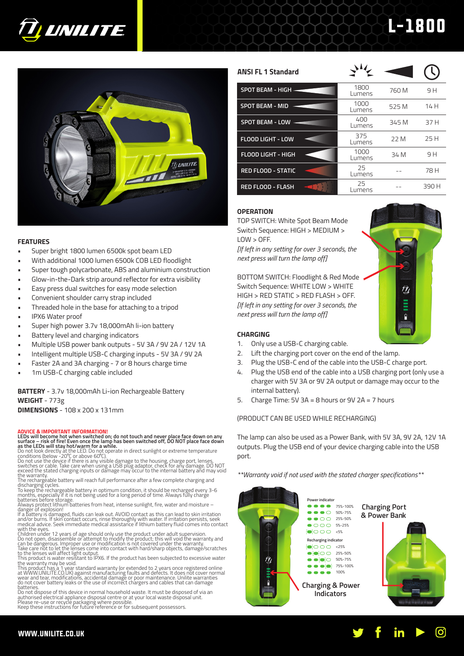

# **TI UNILITE**

# **FEATURES**

- Super bright 1800 lumen 6500k spot beam LED
- With additional 1000 lumen 6500k COB LED floodlight
- Super tough polycarbonate, ABS and aluminium construction
- Glow-in-the-Dark strip around reflector for extra visibility
- Easy press dual switches for easy mode selection
- Convenient shoulder carry strap included
- Threaded hole in the base for attaching to a tripod
- IPX6 Water proof
- Super high power 3.7v 18,000mAh li-ion battery
- Battery level and charging indicators
- Multiple USB power bank outputs 5V 3A / 9V 2A / 12V 1A
- Intelligent multiple USB-C charging inputs 5V 3A / 9V 2A
- Faster 2A and 3A charging 7 or 8 hours charge time
- 1m USB-C charging cable included

# **BATTERY** - 3.7v 18,000mAh Li-ion Rechargeable Battery **WEIGHT** - 773g **DIMENSIONS** - 108 x 200 x 131mm

# **ADVICE & IMPORTANT INFORMATION!**

# LEDs will become hot when switched on; do not touch and never place face down on any<br>surface – risk of fire! Even once the lamp has been switched off, DO NOT place face down<br>as the LEDs will stay hot/warm for a while.

Do not look directly at the LED. Do not operate in direct sunlight or extreme temperature<br>conditions (below -20°C or above 60°C).<br>Do not use the device if there is any visible damage to the housing, charge port, lenses,<br>Sw

The rechargéable battery will reach full performance after a few complete charging and<br>discharging cycles.<br>To keep the rechargeable battery in optimum condition, it should be recharged every 3-6

month's, especially if it is not being used for a long period of time. Always fully charge<br>batteries before storage.<br>Always protect lithium batteries from heat, intense sunlight, fire, water and moisture –<br>danger of explos

Do not open, disassemble or attempt to modify the product; this will void the warranty and<br>can be dangerous. Improper use or modification is not covered under the warranty.<br>Take care not to let the lenses come into contact

to the lenses will affect light output. This product is water resistant to IPX6. If the product has been subjected to excessive water the warranty may be void.

This product has a 1 year standard warranty (or extended to 2 years once registered online<br>at WWW.UNILITE.CO.UK) against manufacturing faults and defects. It does not cover normal<br>wear and tear, modifications, accidental d do not cover battery leaks or the use of incorrect chargers and cables that can damage

batteries. Do not dispose of this device in normal household waste. It must be disposed of via an authorised electrical appliance disposal centre or at your local waste disposal unit.<br>Please re-use or recycle packaging where possible.<br>Keep these instructions for future reference or for subsequent possessors.

| <b>INSI FL 1 Standard</b> | $\lambda\omega$ |       |      |
|---------------------------|-----------------|-------|------|
| SPOT BEAM - HIGH -        | 1800<br>Lumens  | 760 M | 9 H  |
| <b>SPOT BEAM - MID</b>    | 1000<br>Lumens  | 525 M | 14 H |
| <b>SPOT BEAM - LOW</b>    | 400<br>Lumens   | 345 M | 37H  |
| <b>FLOOD LIGHT - LOW</b>  | 375<br>Lumens   | 22 M  | 25 H |
| FLOOD LIGHT - HIGH        | 1000<br>.       | 34 M  | 9 H  |

# **OPERATION**

**ANSI FL** 

TOP SWITCH: White Spot Beam Mode Switch Sequence: HIGH > MEDIUM >  $1$  OW  $>$  OFF.

**RED FLOOD - STATIC** 25

**RED FLOOD - FLASH** 25

*[If left in any setting for over 3 seconds, the next press will turn the lamp off]*

BOTTOM SWITCH: Floodlight & Red Mode Switch Sequence: WHITE LOW > WHITE HIGH > RED STATIC > RED FLASH > OFF. *[If left in any setting for over 3 seconds, the next press will turn the lamp off]*



 $\frac{1000}{1}$  34 M 9 H

Lumens -- <sup>78</sup><sup>H</sup>

Lumens -- <sup>390</sup><sup>H</sup>

L-1800

# **CHARGING**

- 1. Only use a USB-C charging cable.
- 2. Lift the charging port cover on the end of the lamp.
- 3. Plug the USB-C end of the cable into the USB-C charge port.
- 4. Plug the USB end of the cable into a USB charging port (only use a charger with 5V 3A or 9V 2A output or damage may occur to the internal battery).
- 5. Charge Time: 5V 3A = 8 hours or 9V 2A = 7 hours

# (PRODUCT CAN BE USED WHILE RECHARGING)

The lamp can also be used as a Power Bank, with 5V 3A, 9V 2A, 12V 1A outputs. Plug the USB end of your device charging cable into the USB port.

*\*\*Warranty void if not used with the stated charger specifications\*\**